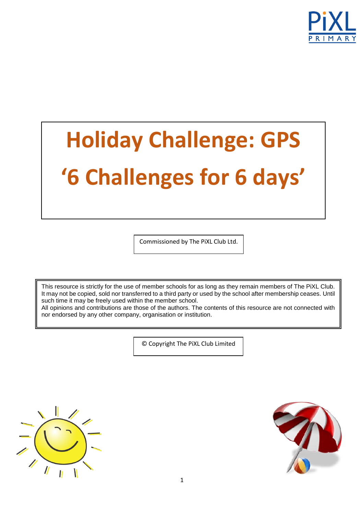

# **Holiday Challenge: GPS '6 Challenges for 6 days'**

Commissioned by The PiXL Club Ltd.

This resource is strictly for the use of member schools for as long as they remain members of The PiXL Club. It may not be copied, sold nor transferred to a third party or used by the school after membership ceases. Until such time it may be freely used within the member school.

All opinions and contributions are those of the authors. The contents of this resource are not connected with nor endorsed by any other company, organisation or institution.

© Copyright The PiXL Club Limited



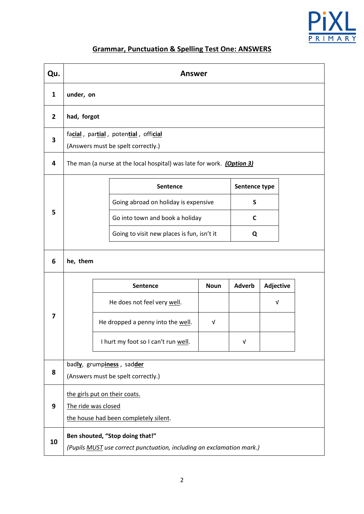

## **Grammar, Punctuation & Spelling Test One: ANSWERS**

| Qu.            | <b>Answer</b>                                                              |                                                                       |                                       |             |               |                  |  |  |
|----------------|----------------------------------------------------------------------------|-----------------------------------------------------------------------|---------------------------------------|-------------|---------------|------------------|--|--|
| $\mathbf{1}$   | under, on                                                                  |                                                                       |                                       |             |               |                  |  |  |
| $\overline{2}$ |                                                                            | had, forgot                                                           |                                       |             |               |                  |  |  |
| 3              | facial, partial, potential, official<br>(Answers must be spelt correctly.) |                                                                       |                                       |             |               |                  |  |  |
| 4              | The man (a nurse at the local hospital) was late for work. (Option 3)      |                                                                       |                                       |             |               |                  |  |  |
|                |                                                                            |                                                                       | Sentence                              |             | Sentence type |                  |  |  |
|                |                                                                            |                                                                       | Going abroad on holiday is expensive  |             | S             |                  |  |  |
| 5              |                                                                            |                                                                       | Go into town and book a holiday       |             | C             |                  |  |  |
|                | Going to visit new places is fun, isn't it                                 |                                                                       |                                       |             | Q             |                  |  |  |
| 6              | he, them                                                                   |                                                                       |                                       |             |               |                  |  |  |
|                |                                                                            |                                                                       | Sentence                              | <b>Noun</b> | <b>Adverb</b> | <b>Adjective</b> |  |  |
|                |                                                                            | He does not feel very well.                                           |                                       |             |               | $\sqrt{ }$       |  |  |
| 7              |                                                                            |                                                                       | He dropped a penny into the well.     | $\sqrt{ }$  |               |                  |  |  |
|                |                                                                            | I hurt my foot so I can't run well.                                   |                                       |             | v             |                  |  |  |
|                | badly, grumpiness, sadder                                                  |                                                                       |                                       |             |               |                  |  |  |
| 8              | (Answers must be spelt correctly.)                                         |                                                                       |                                       |             |               |                  |  |  |
|                |                                                                            | the girls put on their coats.                                         |                                       |             |               |                  |  |  |
| 9              | The ride was closed                                                        |                                                                       |                                       |             |               |                  |  |  |
|                |                                                                            |                                                                       | the house had been completely silent. |             |               |                  |  |  |
| 10             | Ben shouted, "Stop doing that!"                                            |                                                                       |                                       |             |               |                  |  |  |
|                |                                                                            | (Pupils MUST use correct punctuation, including an exclamation mark.) |                                       |             |               |                  |  |  |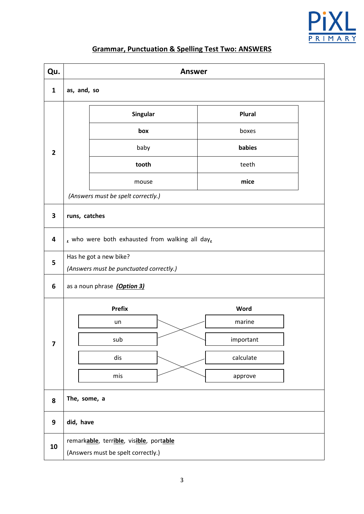

## **Grammar, Punctuation & Spelling Test Two: ANSWERS**

| Qu.                     | <b>Answer</b>                                   |               |               |  |  |  |  |
|-------------------------|-------------------------------------------------|---------------|---------------|--|--|--|--|
| $\mathbf{1}$            | as, and, so                                     |               |               |  |  |  |  |
|                         |                                                 | Singular      | <b>Plural</b> |  |  |  |  |
| $\overline{2}$          |                                                 | box           | boxes         |  |  |  |  |
|                         |                                                 | baby          | babies        |  |  |  |  |
|                         |                                                 | tooth         | teeth         |  |  |  |  |
|                         |                                                 | mouse         | mice          |  |  |  |  |
|                         | (Answers must be spelt correctly.)              |               |               |  |  |  |  |
| 3                       | runs, catches                                   |               |               |  |  |  |  |
| 4                       | , who were both exhausted from walking all day, |               |               |  |  |  |  |
| 5                       | Has he got a new bike?                          |               |               |  |  |  |  |
|                         | (Answers must be punctuated correctly.)         |               |               |  |  |  |  |
| 6                       | as a noun phrase (Option 3)                     |               |               |  |  |  |  |
|                         |                                                 | <b>Prefix</b> | Word          |  |  |  |  |
|                         |                                                 | un            | marine        |  |  |  |  |
| $\overline{\mathbf{z}}$ |                                                 | sub           | important     |  |  |  |  |
|                         |                                                 | dis           | calculate     |  |  |  |  |
|                         |                                                 | mis           | approve       |  |  |  |  |
| 8                       | The, some, a                                    |               |               |  |  |  |  |
| 9                       | did, have                                       |               |               |  |  |  |  |
| 10                      | remarkable, terrible, visible, portable         |               |               |  |  |  |  |
|                         | (Answers must be spelt correctly.)              |               |               |  |  |  |  |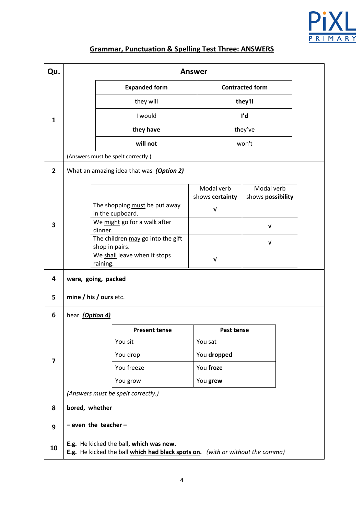

## **Grammar, Punctuation & Spelling Test Three: ANSWERS**

| Qu.            | <b>Answer</b>                                                                                                            |                                          |  |                        |                   |  |
|----------------|--------------------------------------------------------------------------------------------------------------------------|------------------------------------------|--|------------------------|-------------------|--|
| 1              |                                                                                                                          | <b>Expanded form</b>                     |  | <b>Contracted form</b> |                   |  |
|                |                                                                                                                          | they will                                |  |                        | they'll           |  |
|                |                                                                                                                          | I would                                  |  |                        | ľd                |  |
|                |                                                                                                                          | they have                                |  | they've                |                   |  |
|                |                                                                                                                          | will not                                 |  | won't                  |                   |  |
|                |                                                                                                                          | (Answers must be spelt correctly.)       |  |                        |                   |  |
| $\overline{2}$ |                                                                                                                          | What an amazing idea that was (Option 2) |  |                        |                   |  |
|                |                                                                                                                          |                                          |  | Modal verb             | Modal verb        |  |
|                |                                                                                                                          | The shopping must be put away            |  | shows certainty        | shows possibility |  |
|                |                                                                                                                          | in the cupboard.                         |  | $\sqrt{ }$             |                   |  |
| 3              | We might go for a walk after<br>dinner.                                                                                  |                                          |  |                        | $\sqrt{ }$        |  |
|                |                                                                                                                          | The children may go into the gift        |  |                        | $\sqrt{ }$        |  |
|                |                                                                                                                          | shop in pairs.                           |  |                        |                   |  |
|                |                                                                                                                          | We shall leave when it stops<br>raining. |  | $\sqrt{ }$             |                   |  |
| 4              | were, going, packed                                                                                                      |                                          |  |                        |                   |  |
| 5              |                                                                                                                          | mine / his / ours etc.                   |  |                        |                   |  |
| 6              | hear (Option 4)                                                                                                          |                                          |  |                        |                   |  |
|                | <b>Present tense</b>                                                                                                     |                                          |  | Past tense             |                   |  |
|                |                                                                                                                          | You sit                                  |  | You sat                |                   |  |
| 7              |                                                                                                                          | You drop                                 |  | You dropped            |                   |  |
|                |                                                                                                                          | You freeze                               |  | You froze              |                   |  |
|                |                                                                                                                          | You grow                                 |  | You grew               |                   |  |
|                |                                                                                                                          | (Answers must be spelt correctly.)       |  |                        |                   |  |
| 8              | bored, whether                                                                                                           |                                          |  |                        |                   |  |
| 9              | $-$ even the teacher $-$                                                                                                 |                                          |  |                        |                   |  |
| 10             | E.g. He kicked the ball, which was new.<br>E.g. He kicked the ball which had black spots on. (with or without the comma) |                                          |  |                        |                   |  |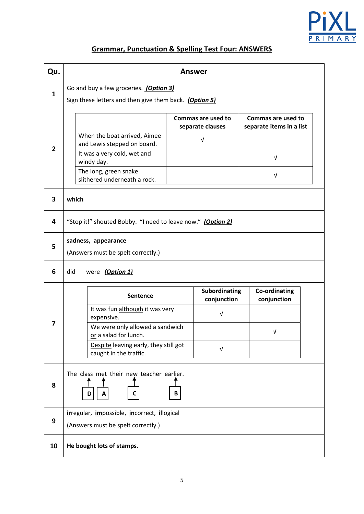

## **Grammar, Punctuation & Spelling Test Four: ANSWERS**

| Qu.          | <b>Answer</b>                                                                                             |                                             |                                                |  |  |  |
|--------------|-----------------------------------------------------------------------------------------------------------|---------------------------------------------|------------------------------------------------|--|--|--|
| $\mathbf{1}$ | Go and buy a few groceries. (Option 3)<br>Sign these letters and then give them back. (Option 5)          |                                             |                                                |  |  |  |
| $\mathbf{2}$ | When the boat arrived, Aimee<br>and Lewis stepped on board.                                               | Commas are used to<br>separate clauses<br>V | Commas are used to<br>separate items in a list |  |  |  |
|              | It was a very cold, wet and<br>windy day.<br>The long, green snake                                        |                                             | V<br>$\sqrt{ }$                                |  |  |  |
| 3            | slithered underneath a rock.<br>which                                                                     |                                             |                                                |  |  |  |
| 4            | "Stop it!" shouted Bobby. "I need to leave now." (Option 2)                                               |                                             |                                                |  |  |  |
| 5            | sadness, appearance<br>(Answers must be spelt correctly.)                                                 |                                             |                                                |  |  |  |
| 6            | did<br>were (Option 1)                                                                                    |                                             |                                                |  |  |  |
|              | <b>Sentence</b>                                                                                           | Subordinating<br>conjunction                | Co-ordinating<br>conjunction                   |  |  |  |
| 7            | It was fun although it was very<br>expensive.<br>We were only allowed a sandwich<br>or a salad for lunch. | $\sqrt{ }$                                  | V                                              |  |  |  |
|              | Despite leaving early, they still got<br>caught in the traffic.                                           | $\sqrt{ }$                                  |                                                |  |  |  |
| 8            | The class met their new teacher earlier.<br>D                                                             | В                                           |                                                |  |  |  |
| 9            | irregular, impossible, incorrect, illogical<br>(Answers must be spelt correctly.)                         |                                             |                                                |  |  |  |
| 10           | He bought lots of stamps.                                                                                 |                                             |                                                |  |  |  |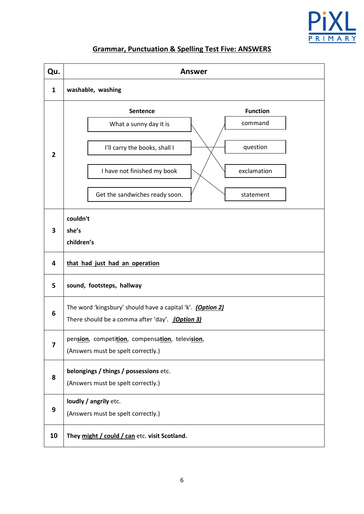

### **Grammar, Punctuation & Spelling Test Five: ANSWERS**